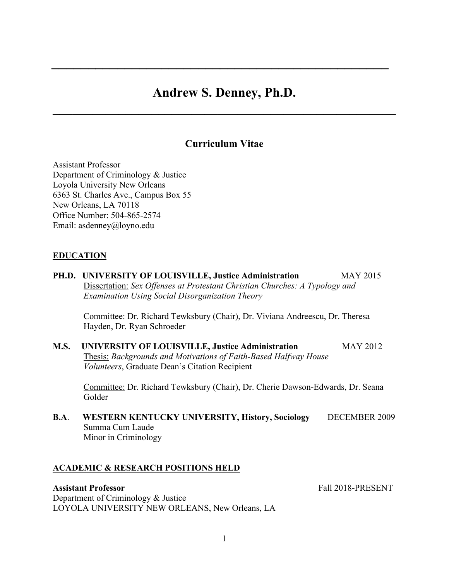# **Andrew S. Denney, Ph.D.**

**\_\_\_\_\_\_\_\_\_\_\_\_\_\_\_\_\_\_\_\_\_\_\_\_\_\_\_\_\_\_\_\_\_\_\_\_\_\_\_\_\_\_\_\_\_\_\_\_\_\_\_\_**

*\_\_\_\_\_\_\_\_\_\_\_\_\_\_\_\_\_\_\_\_\_\_\_\_\_\_\_\_\_\_\_\_\_\_\_\_\_\_\_\_\_\_\_\_\_\_*

# **Curriculum Vitae**

Assistant Professor Department of Criminology & Justice Loyola University New Orleans 6363 St. Charles Ave., Campus Box 55 New Orleans, LA 70118 Office Number: 504-865-2574 Email: asdenney@loyno.edu

## **EDUCATION**

**PH.D. UNIVERSITY OF LOUISVILLE, Justice Administration** MAY 2015 Dissertation: *Sex Offenses at Protestant Christian Churches: A Typology and Examination Using Social Disorganization Theory*

Committee: Dr. Richard Tewksbury (Chair), Dr. Viviana Andreescu, Dr. Theresa Hayden, Dr. Ryan Schroeder

**M.S. UNIVERSITY OF LOUISVILLE, Justice Administration** MAY 2012 Thesis: *Backgrounds and Motivations of Faith-Based Halfway House Volunteers*, Graduate Dean's Citation Recipient

Committee: Dr. Richard Tewksbury (Chair), Dr. Cherie Dawson-Edwards, Dr. Seana Golder

**B.A**. **WESTERN KENTUCKY UNIVERSITY, History, Sociology** DECEMBER 2009 Summa Cum Laude Minor in Criminology

#### **ACADEMIC & RESEARCH POSITIONS HELD**

## **Assistant Professor** Fall 2018-PRESENT

Department of Criminology & Justice LOYOLA UNIVERSITY NEW ORLEANS, New Orleans, LA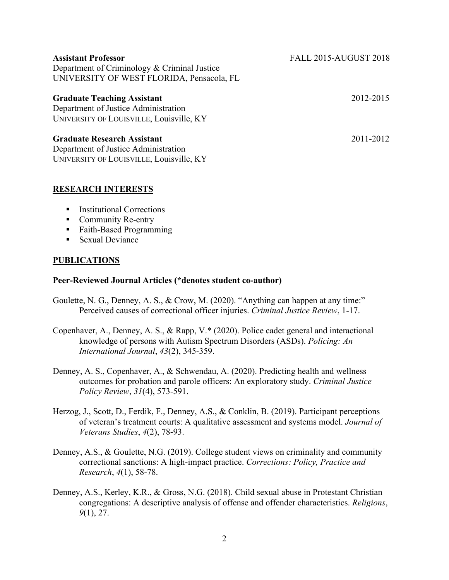| <b>Assistant Professor</b><br>Department of Criminology & Criminal Justice<br>UNIVERSITY OF WEST FLORIDA, Pensacola, FL | <b>FALL 2015-AUGUST 2018</b> |
|-------------------------------------------------------------------------------------------------------------------------|------------------------------|
| <b>Graduate Teaching Assistant</b><br>Department of Justice Administration<br>UNIVERSITY OF LOUISVILLE, Louisville, KY  | 2012-2015                    |
| <b>Graduate Research Assistant</b><br>Department of Justice Administration<br>UNIVERSITY OF LOUISVILLE, Louisville, KY  | 2011-2012                    |

#### **RESEARCH INTERESTS**

- Institutional Corrections
- Community Re-entry
- Faith-Based Programming
- Sexual Deviance

#### **PUBLICATIONS**

#### **Peer-Reviewed Journal Articles (\*denotes student co-author)**

- Goulette, N. G., Denney, A. S., & Crow, M. (2020). "Anything can happen at any time:" Perceived causes of correctional officer injuries. *Criminal Justice Review*, 1-17.
- Copenhaver, A., Denney, A. S., & Rapp, V.\* (2020). Police cadet general and interactional knowledge of persons with Autism Spectrum Disorders (ASDs). *Policing: An International Journal*, *43*(2), 345-359.
- Denney, A. S., Copenhaver, A., & Schwendau, A. (2020). Predicting health and wellness outcomes for probation and parole officers: An exploratory study. *Criminal Justice Policy Review*, *31*(4), 573-591.
- Herzog, J., Scott, D., Ferdik, F., Denney, A.S., & Conklin, B. (2019). Participant perceptions of veteran's treatment courts: A qualitative assessment and systems model. *Journal of Veterans Studies*, *4*(2), 78-93.
- Denney, A.S., & Goulette, N.G. (2019). College student views on criminality and community correctional sanctions: A high-impact practice. *Corrections: Policy, Practice and Research*, *4*(1), 58-78.
- Denney, A.S., Kerley, K.R., & Gross, N.G. (2018). Child sexual abuse in Protestant Christian congregations: A descriptive analysis of offense and offender characteristics. *Religions*, *9*(1), 27.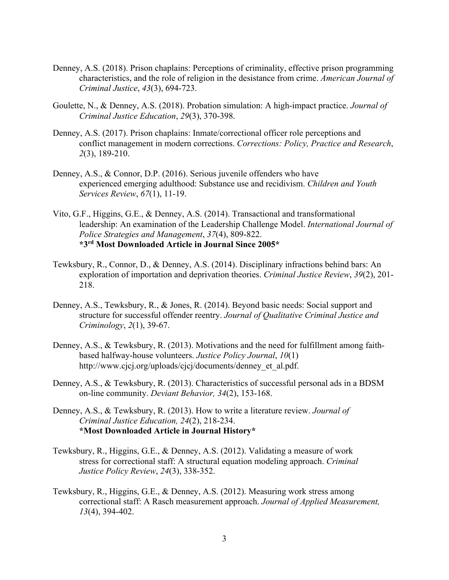- Denney, A.S. (2018). Prison chaplains: Perceptions of criminality, effective prison programming characteristics, and the role of religion in the desistance from crime. *American Journal of Criminal Justice*, *43*(3), 694-723.
- Goulette, N., & Denney, A.S. (2018). Probation simulation: A high-impact practice. *Journal of Criminal Justice Education*, *29*(3), 370-398.
- Denney, A.S. (2017). Prison chaplains: Inmate/correctional officer role perceptions and conflict management in modern corrections. *Corrections: Policy, Practice and Research*, *2*(3), 189-210.
- Denney, A.S., & Connor, D.P. (2016). Serious juvenile offenders who have experienced emerging adulthood: Substance use and recidivism. *Children and Youth Services Review*, *67*(1), 11-19.
- Vito, G.F., Higgins, G.E., & Denney, A.S. (2014). Transactional and transformational leadership: An examination of the Leadership Challenge Model. *International Journal of Police Strategies and Management*, *37*(4), 809-822. **\*3rd Most Downloaded Article in Journal Since 2005\***
- Tewksbury, R., Connor, D., & Denney, A.S. (2014). Disciplinary infractions behind bars: An exploration of importation and deprivation theories. *Criminal Justice Review*, *39*(2), 201- 218.
- Denney, A.S., Tewksbury, R., & Jones, R. (2014). Beyond basic needs: Social support and structure for successful offender reentry. *Journal of Qualitative Criminal Justice and Criminology*, *2*(1), 39-67.
- Denney, A.S., & Tewksbury, R. (2013). Motivations and the need for fulfillment among faithbased halfway-house volunteers. *Justice Policy Journal*, *10*(1) http://www.cjcj.org/uploads/cjcj/documents/denney\_et\_al.pdf.
- Denney, A.S., & Tewksbury, R. (2013). Characteristics of successful personal ads in a BDSM on-line community. *Deviant Behavior, 34*(2), 153-168.
- Denney, A.S., & Tewksbury, R. (2013). How to write a literature review. *Journal of Criminal Justice Education, 24*(2), 218-234. **\*Most Downloaded Article in Journal History\***
- Tewksbury, R., Higgins, G.E., & Denney, A.S. (2012). Validating a measure of work stress for correctional staff: A structural equation modeling approach. *Criminal Justice Policy Review*, *24*(3), 338-352.
- Tewksbury, R., Higgins, G.E., & Denney, A.S. (2012). Measuring work stress among correctional staff: A Rasch measurement approach. *Journal of Applied Measurement, 13*(4), 394-402.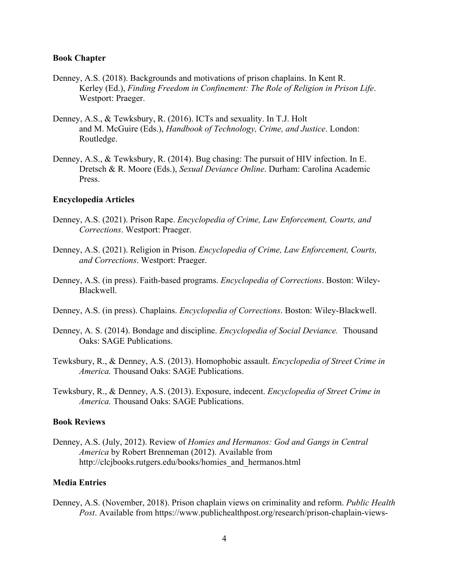#### **Book Chapter**

- Denney, A.S. (2018). Backgrounds and motivations of prison chaplains. In Kent R. Kerley (Ed.), *Finding Freedom in Confinement: The Role of Religion in Prison Life*. Westport: Praeger.
- Denney, A.S., & Tewksbury, R. (2016). ICTs and sexuality. In T.J. Holt and M. McGuire (Eds.), *Handbook of Technology, Crime, and Justice*. London: Routledge.
- Denney, A.S., & Tewksbury, R. (2014). Bug chasing: The pursuit of HIV infection. In E. Dretsch & R. Moore (Eds.), *Sexual Deviance Online*. Durham: Carolina Academic Press.

#### **Encyclopedia Articles**

- Denney, A.S. (2021). Prison Rape. *Encyclopedia of Crime, Law Enforcement, Courts, and Corrections*. Westport: Praeger.
- Denney, A.S. (2021). Religion in Prison. *Encyclopedia of Crime, Law Enforcement, Courts, and Corrections*. Westport: Praeger.
- Denney, A.S. (in press). Faith-based programs. *Encyclopedia of Corrections*. Boston: Wiley-Blackwell.
- Denney, A.S. (in press). Chaplains. *Encyclopedia of Corrections*. Boston: Wiley-Blackwell.
- Denney, A. S. (2014). Bondage and discipline. *Encyclopedia of Social Deviance.* Thousand Oaks: SAGE Publications.
- Tewksbury, R., & Denney, A.S. (2013). Homophobic assault. *Encyclopedia of Street Crime in America.* Thousand Oaks: SAGE Publications.
- Tewksbury, R., & Denney, A.S. (2013). Exposure, indecent. *Encyclopedia of Street Crime in America.* Thousand Oaks: SAGE Publications.

#### **Book Reviews**

Denney, A.S. (July, 2012). Review of *Homies and Hermanos: God and Gangs in Central America* by Robert Brenneman (2012). Available from http://clcjbooks.rutgers.edu/books/homies\_and\_hermanos.html

## **Media Entries**

Denney, A.S. (November, 2018). Prison chaplain views on criminality and reform. *Public Health Post*. Available from https://www.publichealthpost.org/research/prison-chaplain-views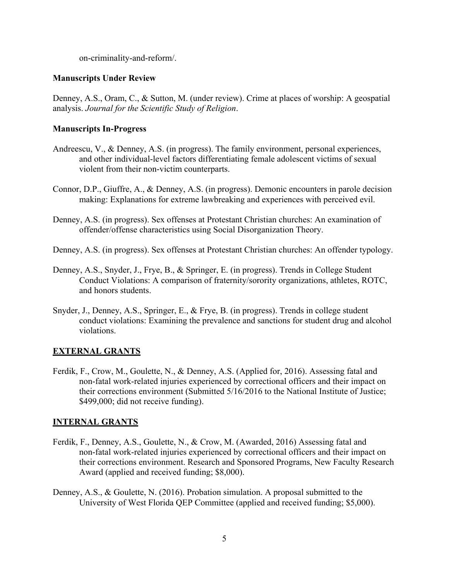on-criminality-and-reform/.

## **Manuscripts Under Review**

Denney, A.S., Oram, C., & Sutton, M. (under review). Crime at places of worship: A geospatial analysis. *Journal for the Scientific Study of Religion*.

## **Manuscripts In-Progress**

- Andreescu, V., & Denney, A.S. (in progress). The family environment, personal experiences, and other individual-level factors differentiating female adolescent victims of sexual violent from their non-victim counterparts.
- Connor, D.P., Giuffre, A., & Denney, A.S. (in progress). Demonic encounters in parole decision making: Explanations for extreme lawbreaking and experiences with perceived evil.
- Denney, A.S. (in progress). Sex offenses at Protestant Christian churches: An examination of offender/offense characteristics using Social Disorganization Theory.
- Denney, A.S. (in progress). Sex offenses at Protestant Christian churches: An offender typology.
- Denney, A.S., Snyder, J., Frye, B., & Springer, E. (in progress). Trends in College Student Conduct Violations: A comparison of fraternity/sorority organizations, athletes, ROTC, and honors students.
- Snyder, J., Denney, A.S., Springer, E., & Frye, B. (in progress). Trends in college student conduct violations: Examining the prevalence and sanctions for student drug and alcohol violations.

## **EXTERNAL GRANTS**

Ferdik, F., Crow, M., Goulette, N., & Denney, A.S. (Applied for, 2016). Assessing fatal and non-fatal work-related injuries experienced by correctional officers and their impact on their corrections environment (Submitted 5/16/2016 to the National Institute of Justice; \$499,000; did not receive funding).

## **INTERNAL GRANTS**

- Ferdik, F., Denney, A.S., Goulette, N., & Crow, M. (Awarded, 2016) Assessing fatal and non-fatal work-related injuries experienced by correctional officers and their impact on their corrections environment. Research and Sponsored Programs, New Faculty Research Award (applied and received funding; \$8,000).
- Denney, A.S., & Goulette, N. (2016). Probation simulation. A proposal submitted to the University of West Florida QEP Committee (applied and received funding; \$5,000).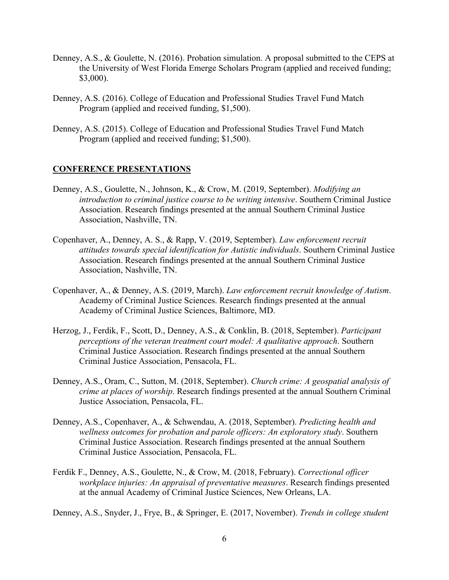- Denney, A.S., & Goulette, N. (2016). Probation simulation. A proposal submitted to the CEPS at the University of West Florida Emerge Scholars Program (applied and received funding; \$3,000).
- Denney, A.S. (2016). College of Education and Professional Studies Travel Fund Match Program (applied and received funding, \$1,500).
- Denney, A.S. (2015). College of Education and Professional Studies Travel Fund Match Program (applied and received funding; \$1,500).

## **CONFERENCE PRESENTATIONS**

- Denney, A.S., Goulette, N., Johnson, K., & Crow, M. (2019, September). *Modifying an introduction to criminal justice course to be writing intensive*. Southern Criminal Justice Association. Research findings presented at the annual Southern Criminal Justice Association, Nashville, TN.
- Copenhaver, A., Denney, A. S., & Rapp, V. (2019, September). *Law enforcement recruit attitudes towards special identification for Autistic individuals*. Southern Criminal Justice Association. Research findings presented at the annual Southern Criminal Justice Association, Nashville, TN.
- Copenhaver, A., & Denney, A.S. (2019, March). *Law enforcement recruit knowledge of Autism*. Academy of Criminal Justice Sciences. Research findings presented at the annual Academy of Criminal Justice Sciences, Baltimore, MD.
- Herzog, J., Ferdik, F., Scott, D., Denney, A.S., & Conklin, B. (2018, September). *Participant perceptions of the veteran treatment court model: A qualitative approach*. Southern Criminal Justice Association. Research findings presented at the annual Southern Criminal Justice Association, Pensacola, FL.
- Denney, A.S., Oram, C., Sutton, M. (2018, September). *Church crime: A geospatial analysis of crime at places of worship*. Research findings presented at the annual Southern Criminal Justice Association, Pensacola, FL.
- Denney, A.S., Copenhaver, A., & Schwendau, A. (2018, September). *Predicting health and wellness outcomes for probation and parole officers: An exploratory study*. Southern Criminal Justice Association. Research findings presented at the annual Southern Criminal Justice Association, Pensacola, FL.
- Ferdik F., Denney, A.S., Goulette, N., & Crow, M. (2018, February). *Correctional officer workplace injuries: An appraisal of preventative measures*. Research findings presented at the annual Academy of Criminal Justice Sciences, New Orleans, LA.

Denney, A.S., Snyder, J., Frye, B., & Springer, E. (2017, November). *Trends in college student*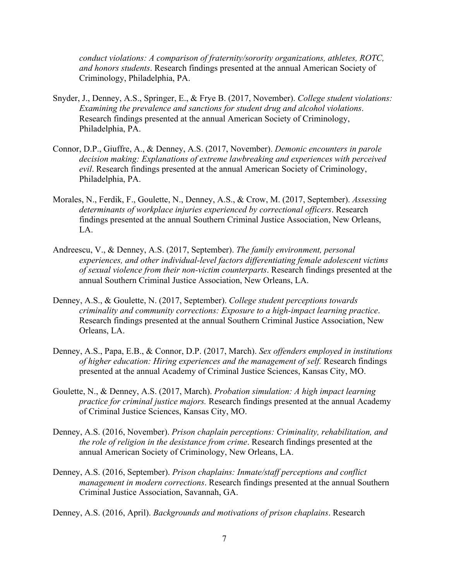*conduct violations: A comparison of fraternity/sorority organizations, athletes, ROTC, and honors students*. Research findings presented at the annual American Society of Criminology, Philadelphia, PA.

- Snyder, J., Denney, A.S., Springer, E., & Frye B. (2017, November). *College student violations: Examining the prevalence and sanctions for student drug and alcohol violations*. Research findings presented at the annual American Society of Criminology, Philadelphia, PA.
- Connor, D.P., Giuffre, A., & Denney, A.S. (2017, November). *Demonic encounters in parole decision making: Explanations of extreme lawbreaking and experiences with perceived evil*. Research findings presented at the annual American Society of Criminology, Philadelphia, PA.
- Morales, N., Ferdik, F., Goulette, N., Denney, A.S., & Crow, M. (2017, September). *Assessing determinants of workplace injuries experienced by correctional officers*. Research findings presented at the annual Southern Criminal Justice Association, New Orleans, LA.
- Andreescu, V., & Denney, A.S. (2017, September). *The family environment, personal experiences, and other individual-level factors differentiating female adolescent victims of sexual violence from their non-victim counterparts*. Research findings presented at the annual Southern Criminal Justice Association, New Orleans, LA.
- Denney, A.S., & Goulette, N. (2017, September). *College student perceptions towards criminality and community corrections: Exposure to a high-impact learning practice*. Research findings presented at the annual Southern Criminal Justice Association, New Orleans, LA.
- Denney, A.S., Papa, E.B., & Connor, D.P. (2017, March). *Sex offenders employed in institutions of higher education: Hiring experiences and the management of self.* Research findings presented at the annual Academy of Criminal Justice Sciences, Kansas City, MO.
- Goulette, N., & Denney, A.S. (2017, March). *Probation simulation: A high impact learning practice for criminal justice majors.* Research findings presented at the annual Academy of Criminal Justice Sciences, Kansas City, MO.
- Denney, A.S. (2016, November). *Prison chaplain perceptions: Criminality, rehabilitation, and the role of religion in the desistance from crime*. Research findings presented at the annual American Society of Criminology, New Orleans, LA.
- Denney, A.S. (2016, September). *Prison chaplains: Inmate/staff perceptions and conflict management in modern corrections*. Research findings presented at the annual Southern Criminal Justice Association, Savannah, GA.

Denney, A.S. (2016, April). *Backgrounds and motivations of prison chaplains*. Research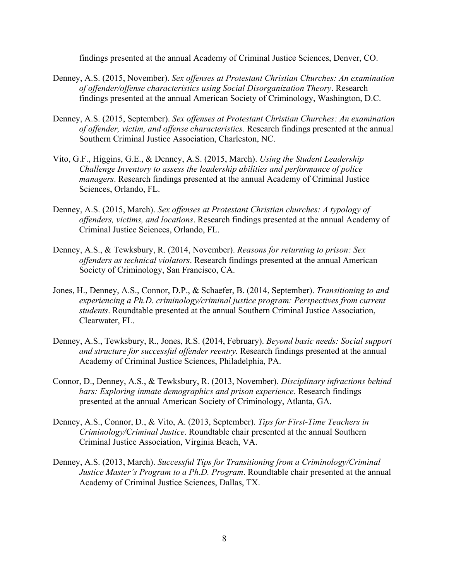findings presented at the annual Academy of Criminal Justice Sciences, Denver, CO.

- Denney, A.S. (2015, November). *Sex offenses at Protestant Christian Churches: An examination of offender/offense characteristics using Social Disorganization Theory*. Research findings presented at the annual American Society of Criminology, Washington, D.C.
- Denney, A.S. (2015, September). *Sex offenses at Protestant Christian Churches: An examination of offender, victim, and offense characteristics*. Research findings presented at the annual Southern Criminal Justice Association, Charleston, NC.
- Vito, G.F., Higgins, G.E., & Denney, A.S. (2015, March). *Using the Student Leadership Challenge Inventory to assess the leadership abilities and performance of police managers*. Research findings presented at the annual Academy of Criminal Justice Sciences, Orlando, FL.
- Denney, A.S. (2015, March). *Sex offenses at Protestant Christian churches: A typology of offenders, victims, and locations*. Research findings presented at the annual Academy of Criminal Justice Sciences, Orlando, FL.
- Denney, A.S., & Tewksbury, R. (2014, November). *Reasons for returning to prison: Sex offenders as technical violators*. Research findings presented at the annual American Society of Criminology, San Francisco, CA.
- Jones, H., Denney, A.S., Connor, D.P., & Schaefer, B. (2014, September). *Transitioning to and experiencing a Ph.D. criminology/criminal justice program: Perspectives from current students*. Roundtable presented at the annual Southern Criminal Justice Association, Clearwater, FL.
- Denney, A.S., Tewksbury, R., Jones, R.S. (2014, February). *Beyond basic needs: Social support and structure for successful offender reentry.* Research findings presented at the annual Academy of Criminal Justice Sciences, Philadelphia, PA.
- Connor, D., Denney, A.S., & Tewksbury, R. (2013, November). *Disciplinary infractions behind bars: Exploring inmate demographics and prison experience*. Research findings presented at the annual American Society of Criminology, Atlanta, GA.
- Denney, A.S., Connor, D., & Vito, A. (2013, September). *Tips for First-Time Teachers in Criminology/Criminal Justice*. Roundtable chair presented at the annual Southern Criminal Justice Association, Virginia Beach, VA.
- Denney, A.S. (2013, March). *Successful Tips for Transitioning from a Criminology/Criminal Justice Master's Program to a Ph.D. Program*. Roundtable chair presented at the annual Academy of Criminal Justice Sciences, Dallas, TX.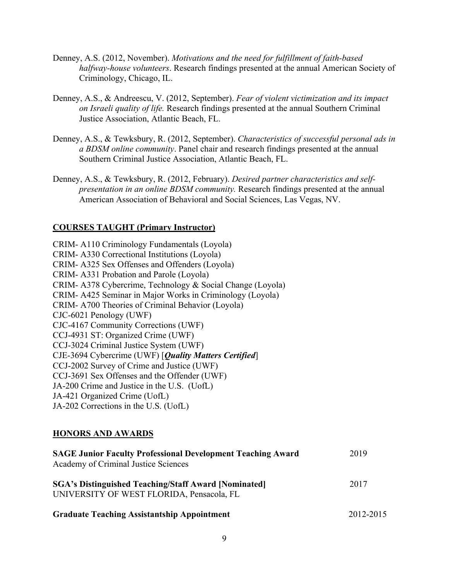- Denney, A.S. (2012, November). *Motivations and the need for fulfillment of faith-based halfway-house volunteers*. Research findings presented at the annual American Society of Criminology, Chicago, IL.
- Denney, A.S., & Andreescu, V. (2012, September). *Fear of violent victimization and its impact on Israeli quality of life.* Research findings presented at the annual Southern Criminal Justice Association, Atlantic Beach, FL.
- Denney, A.S., & Tewksbury, R. (2012, September). *Characteristics of successful personal ads in a BDSM online community*. Panel chair and research findings presented at the annual Southern Criminal Justice Association, Atlantic Beach, FL.
- Denney, A.S., & Tewksbury, R. (2012, February). *Desired partner characteristics and selfpresentation in an online BDSM community.* Research findings presented at the annual American Association of Behavioral and Social Sciences, Las Vegas, NV.

## **COURSES TAUGHT (Primary Instructor)**

CRIM- A110 Criminology Fundamentals (Loyola) CRIM- A330 Correctional Institutions (Loyola) CRIM- A325 Sex Offenses and Offenders (Loyola) CRIM- A331 Probation and Parole (Loyola) CRIM- A378 Cybercrime, Technology & Social Change (Loyola) CRIM- A425 Seminar in Major Works in Criminology (Loyola) CRIM- A700 Theories of Criminal Behavior (Loyola) CJC-6021 Penology (UWF) CJC-4167 Community Corrections (UWF) CCJ-4931 ST: Organized Crime (UWF) CCJ-3024 Criminal Justice System (UWF) CJE-3694 Cybercrime (UWF) [*Quality Matters Certified*] CCJ-2002 Survey of Crime and Justice (UWF) CCJ-3691 Sex Offenses and the Offender (UWF) JA-200 Crime and Justice in the U.S. (UofL) JA-421 Organized Crime (UofL) JA-202 Corrections in the U.S. (UofL)

## **HONORS AND AWARDS**

| <b>SAGE Junior Faculty Professional Development Teaching Award</b><br>Academy of Criminal Justice Sciences | 2019      |
|------------------------------------------------------------------------------------------------------------|-----------|
| <b>SGA's Distinguished Teaching/Staff Award [Nominated]</b><br>UNIVERSITY OF WEST FLORIDA, Pensacola, FL   | 2017      |
| <b>Graduate Teaching Assistantship Appointment</b>                                                         | 2012-2015 |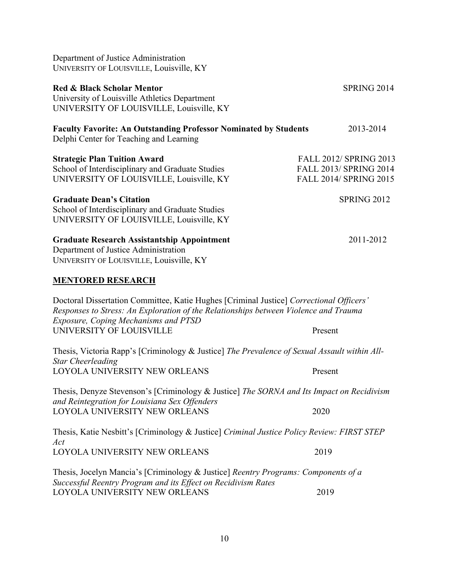| Department of Justice Administration<br>UNIVERSITY OF LOUISVILLE, Louisville, KY                                                                                                                                               |                                                                                   |
|--------------------------------------------------------------------------------------------------------------------------------------------------------------------------------------------------------------------------------|-----------------------------------------------------------------------------------|
| <b>Red &amp; Black Scholar Mentor</b><br>University of Louisville Athletics Department<br>UNIVERSITY OF LOUISVILLE, Louisville, KY                                                                                             | SPRING 2014                                                                       |
| <b>Faculty Favorite: An Outstanding Professor Nominated by Students</b><br>Delphi Center for Teaching and Learning                                                                                                             | 2013-2014                                                                         |
| <b>Strategic Plan Tuition Award</b><br>School of Interdisciplinary and Graduate Studies<br>UNIVERSITY OF LOUISVILLE, Louisville, KY                                                                                            | <b>FALL 2012/ SPRING 2013</b><br>FALL 2013/ SPRING 2014<br>FALL 2014/ SPRING 2015 |
| <b>Graduate Dean's Citation</b><br>School of Interdisciplinary and Graduate Studies<br>UNIVERSITY OF LOUISVILLE, Louisville, KY                                                                                                | <b>SPRING 2012</b>                                                                |
| <b>Graduate Research Assistantship Appointment</b><br>Department of Justice Administration<br>UNIVERSITY OF LOUISVILLE, Louisville, KY                                                                                         | 2011-2012                                                                         |
| <b>MENTORED RESEARCH</b>                                                                                                                                                                                                       |                                                                                   |
| Doctoral Dissertation Committee, Katie Hughes [Criminal Justice] Correctional Officers'<br>Responses to Stress: An Exploration of the Relationships between Violence and Trauma<br><b>Exposure, Coping Mechanisms and PTSD</b> |                                                                                   |
| UNIVERSITY OF LOUISVILLE                                                                                                                                                                                                       | Present                                                                           |
| Thesis, Victoria Rapp's [Criminology & Justice] The Prevalence of Sexual Assault within All-<br><b>Star Cheerleading</b>                                                                                                       |                                                                                   |
| LOYOLA UNIVERSITY NEW ORLEANS                                                                                                                                                                                                  | Present                                                                           |
| Thesis, Denyze Stevenson's [Criminology & Justice] The SORNA and Its Impact on Recidivism<br>and Reintegration for Louisiana Sex Offenders                                                                                     |                                                                                   |
| LOYOLA UNIVERSITY NEW ORLEANS                                                                                                                                                                                                  | 2020                                                                              |
| Thesis, Katie Nesbitt's [Criminology & Justice] Criminal Justice Policy Review: FIRST STEP<br>Act                                                                                                                              |                                                                                   |
| LOYOLA UNIVERSITY NEW ORLEANS                                                                                                                                                                                                  | 2019                                                                              |
| Thesis, Jocelyn Mancia's [Criminology & Justice] Reentry Programs: Components of a<br>Successful Reentry Program and its Effect on Recidivism Rates                                                                            |                                                                                   |
| LOYOLA UNIVERSITY NEW ORLEANS                                                                                                                                                                                                  | 2019                                                                              |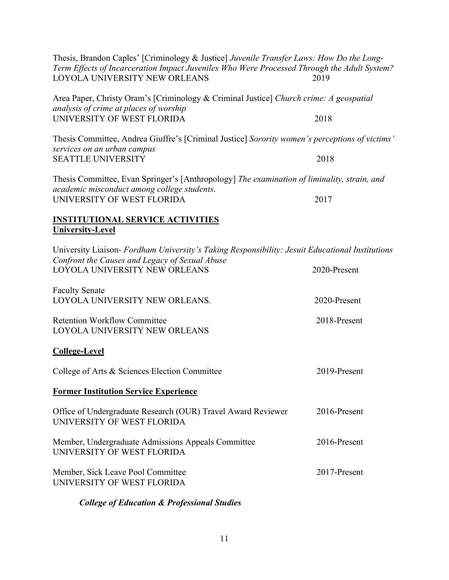| Thesis, Brandon Caples' [Criminology & Justice] Juvenile Transfer Laws: How Do the Long-<br>Term Effects of Incarceration Impact Juveniles Who Were Processed Through the Adult System?<br>LOYOLA UNIVERSITY NEW ORLEANS | 2019         |
|--------------------------------------------------------------------------------------------------------------------------------------------------------------------------------------------------------------------------|--------------|
| Area Paper, Christy Oram's [Criminology & Criminal Justice] Church crime: A geospatial<br>analysis of crime at places of worship                                                                                         |              |
| UNIVERSITY OF WEST FLORIDA                                                                                                                                                                                               | 2018         |
| Thesis Committee, Andrea Giuffre's [Criminal Justice] Sorority women's perceptions of victims'<br>services on an urban campus                                                                                            |              |
| <b>SEATTLE UNIVERSITY</b>                                                                                                                                                                                                | 2018         |
| Thesis Committee, Evan Springer's [Anthropology] The examination of liminality, strain, and<br>academic misconduct among college students.                                                                               |              |
| UNIVERSITY OF WEST FLORIDA                                                                                                                                                                                               | 2017         |
| <b>INSTITUTIONAL SERVICE ACTIVITIES</b><br><b>University-Level</b>                                                                                                                                                       |              |
| University Liaison- Fordham University's Taking Responsibility: Jesuit Educational Institutions<br>Confront the Causes and Legacy of Sexual Abuse                                                                        |              |
| LOYOLA UNIVERSITY NEW ORLEANS                                                                                                                                                                                            | 2020-Present |
| <b>Faculty Senate</b><br>LOYOLA UNIVERSITY NEW ORLEANS.                                                                                                                                                                  | 2020-Present |
| <b>Retention Workflow Committee</b><br>LOYOLA UNIVERSITY NEW ORLEANS                                                                                                                                                     | 2018-Present |
| <b>College-Level</b>                                                                                                                                                                                                     |              |
| College of Arts & Sciences Election Committee                                                                                                                                                                            | 2019-Present |
| <b>Former Institution Service Experience</b>                                                                                                                                                                             |              |
| Office of Undergraduate Research (OUR) Travel Award Reviewer<br>UNIVERSITY OF WEST FLORIDA                                                                                                                               | 2016-Present |
| Member, Undergraduate Admissions Appeals Committee<br>UNIVERSITY OF WEST FLORIDA                                                                                                                                         | 2016-Present |
| Member, Sick Leave Pool Committee<br>UNIVERSITY OF WEST FLORIDA                                                                                                                                                          | 2017-Present |
|                                                                                                                                                                                                                          |              |

# *College of Education & Professional Studies*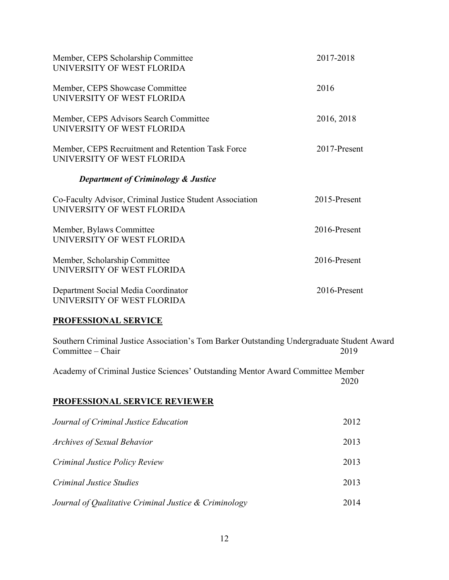| Member, CEPS Scholarship Committee<br>UNIVERSITY OF WEST FLORIDA                       | 2017-2018       |
|----------------------------------------------------------------------------------------|-----------------|
| Member, CEPS Showcase Committee<br>UNIVERSITY OF WEST FLORIDA                          | 2016            |
| Member, CEPS Advisors Search Committee<br>UNIVERSITY OF WEST FLORIDA                   | 2016, 2018      |
| Member, CEPS Recruitment and Retention Task Force<br>UNIVERSITY OF WEST FLORIDA        | 2017-Present    |
| <b>Department of Criminology &amp; Justice</b>                                         |                 |
| Co-Faculty Advisor, Criminal Justice Student Association<br>UNIVERSITY OF WEST FLORIDA | $2015$ -Present |
| Member, Bylaws Committee<br>UNIVERSITY OF WEST FLORIDA                                 | 2016-Present    |
| Member, Scholarship Committee<br>UNIVERSITY OF WEST FLORIDA                            | 2016-Present    |
|                                                                                        |                 |
| Department Social Media Coordinator<br>UNIVERSITY OF WEST FLORIDA                      | 2016-Present    |

# **PROFESSIONAL SERVICE**

Southern Criminal Justice Association's Tom Barker Outstanding Undergraduate Student Award Committee – Chair

Academy of Criminal Justice Sciences' Outstanding Mentor Award Committee Member 2020

# **PROFESSIONAL SERVICE REVIEWER**

| Journal of Criminal Justice Education                 | 2012 |
|-------------------------------------------------------|------|
| <b>Archives of Sexual Behavior</b>                    | 2013 |
| Criminal Justice Policy Review                        | 2013 |
| <b>Criminal Justice Studies</b>                       | 2013 |
| Journal of Qualitative Criminal Justice & Criminology | 2014 |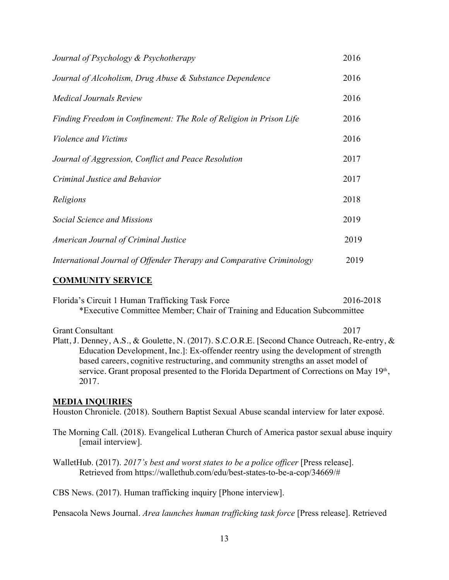| Journal of Psychology & Psychotherapy                                 | 2016 |
|-----------------------------------------------------------------------|------|
| Journal of Alcoholism, Drug Abuse & Substance Dependence              | 2016 |
| <b>Medical Journals Review</b>                                        | 2016 |
| Finding Freedom in Confinement: The Role of Religion in Prison Life   | 2016 |
| <i>Violence and Victims</i>                                           | 2016 |
| Journal of Aggression, Conflict and Peace Resolution                  | 2017 |
| Criminal Justice and Behavior                                         | 2017 |
| Religions                                                             | 2018 |
| Social Science and Missions                                           | 2019 |
| American Journal of Criminal Justice                                  | 2019 |
| International Journal of Offender Therapy and Comparative Criminology | 2019 |

## **COMMUNITY SERVICE**

Florida's Circuit 1 Human Trafficking Task Force 2016-2018 \*Executive Committee Member; Chair of Training and Education Subcommittee

Grant Consultant 2017 Platt, J. Denney, A.S., & Goulette, N. (2017). S.C.O.R.E. [Second Chance Outreach, Re-entry, & Education Development, Inc.]: Ex-offender reentry using the development of strength based careers, cognitive restructuring, and community strengths an asset model of service. Grant proposal presented to the Florida Department of Corrections on May 19th, 2017.

#### **MEDIA INQUIRIES**

Houston Chronicle. (2018). Southern Baptist Sexual Abuse scandal interview for later exposé.

The Morning Call. (2018). Evangelical Lutheran Church of America pastor sexual abuse inquiry [email interview].

WalletHub. (2017). *2017's best and worst states to be a police officer* [Press release]. Retrieved from https://wallethub.com/edu/best-states-to-be-a-cop/34669/#

CBS News. (2017). Human trafficking inquiry [Phone interview].

Pensacola News Journal. *Area launches human trafficking task force* [Press release]. Retrieved